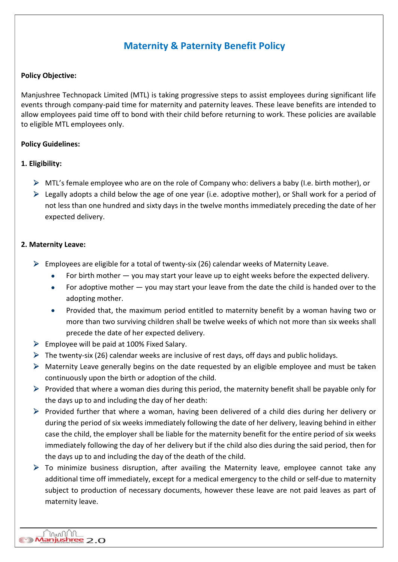# Maternity & Paternity Benefit Policy

## Policy Objective:

Manjushree Technopack Limited (MTL) is taking progressive steps to assist employees during significant life events through company-paid time for maternity and paternity leaves. These leave benefits are intended to allow employees paid time off to bond with their child before returning to work. These policies are available to eligible MTL employees only.

## Policy Guidelines:

## 1. Eligibility:

- $\triangleright$  MTL's female employee who are on the role of Company who: delivers a baby (I.e. birth mother), or
- $\triangleright$  Legally adopts a child below the age of one year (i.e. adoptive mother), or Shall work for a period of not less than one hundred and sixty days in the twelve months immediately preceding the date of her expected delivery.

## 2. Maternity Leave:

- $\triangleright$  Employees are eligible for a total of twenty-six (26) calendar weeks of Maternity Leave.
	- For birth mother  $-$  you may start your leave up to eight weeks before the expected delivery.
	- For adoptive mother you may start your leave from the date the child is handed over to the adopting mother.
	- Provided that, the maximum period entitled to maternity benefit by a woman having two or more than two surviving children shall be twelve weeks of which not more than six weeks shall precede the date of her expected delivery.
- $\triangleright$  Employee will be paid at 100% Fixed Salary.
- $\triangleright$  The twenty-six (26) calendar weeks are inclusive of rest days, off days and public holidays.
- $\triangleright$  Maternity Leave generally begins on the date requested by an eligible employee and must be taken continuously upon the birth or adoption of the child.
- $\triangleright$  Provided that where a woman dies during this period, the maternity benefit shall be payable only for the days up to and including the day of her death:
- $\triangleright$  Provided further that where a woman, having been delivered of a child dies during her delivery or during the period of six weeks immediately following the date of her delivery, leaving behind in either case the child, the employer shall be liable for the maternity benefit for the entire period of six weeks immediately following the day of her delivery but if the child also dies during the said period, then for the days up to and including the day of the death of the child.
- $\triangleright$  To minimize business disruption, after availing the Maternity leave, employee cannot take any additional time off immediately, except for a medical emergency to the child or self-due to maternity subject to production of necessary documents, however these leave are not paid leaves as part of maternity leave.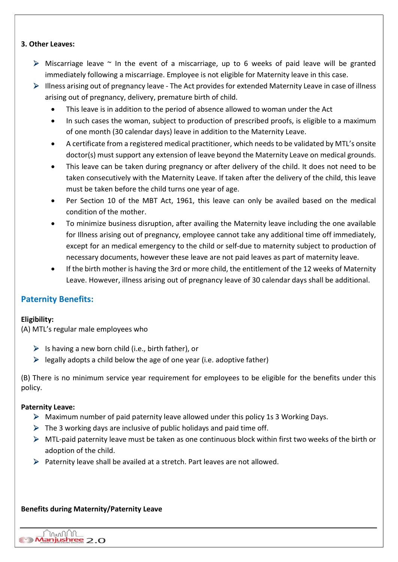#### 3. Other Leaves:

- $\triangleright$  Miscarriage leave  $\sim$  In the event of a miscarriage, up to 6 weeks of paid leave will be granted immediately following a miscarriage. Employee is not eligible for Maternity leave in this case.
- $\triangleright$  Illness arising out of pregnancy leave The Act provides for extended Maternity Leave in case of illness arising out of pregnancy, delivery, premature birth of child.
	- This leave is in addition to the period of absence allowed to woman under the Act
	- In such cases the woman, subject to production of prescribed proofs, is eligible to a maximum of one month (30 calendar days) leave in addition to the Maternity Leave.
	- A certificate from a registered medical practitioner, which needs to be validated by MTL's onsite doctor(s) must support any extension of leave beyond the Maternity Leave on medical grounds.
	- This leave can be taken during pregnancy or after delivery of the child. It does not need to be taken consecutively with the Maternity Leave. If taken after the delivery of the child, this leave must be taken before the child turns one year of age.
	- Per Section 10 of the MBT Act, 1961, this leave can only be availed based on the medical condition of the mother.
	- To minimize business disruption, after availing the Maternity leave including the one available for Illness arising out of pregnancy, employee cannot take any additional time off immediately, except for an medical emergency to the child or self-due to maternity subject to production of necessary documents, however these leave are not paid leaves as part of maternity leave.
	- If the birth mother is having the 3rd or more child, the entitlement of the 12 weeks of Maternity Leave. However, illness arising out of pregnancy leave of 30 calendar days shall be additional.

## Paternity Benefits:

## Eligibility:

(A) MTL's regular male employees who

- $\triangleright$  Is having a new born child (i.e., birth father), or
- $\triangleright$  legally adopts a child below the age of one year (i.e. adoptive father)

(B) There is no minimum service year requirement for employees to be eligible for the benefits under this policy.

#### Paternity Leave:

- $\triangleright$  Maximum number of paid paternity leave allowed under this policy 1s 3 Working Days.
- $\triangleright$  The 3 working days are inclusive of public holidays and paid time off.
- $\triangleright$  MTL-paid paternity leave must be taken as one continuous block within first two weeks of the birth or adoption of the child.
- $\triangleright$  Paternity leave shall be availed at a stretch. Part leaves are not allowed.

#### Benefits during Maternity/Paternity Leave

mmn'n Manjushree 2.0